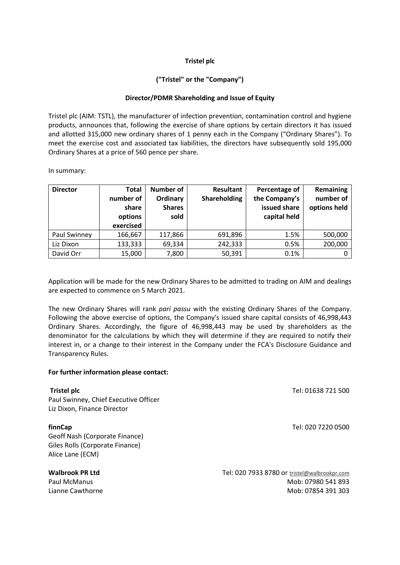### **Tristel plc**

## **("Tristel" or the "Company")**

### **Director/PDMR Shareholding and Issue of Equity**

Tristel plc (AIM: TSTL), the manufacturer of infection prevention, contamination control and hygiene products, announces that, following the exercise of share options by certain directors it has issued and allotted 315,000 new ordinary shares of 1 penny each in the Company ("Ordinary Shares"). To meet the exercise cost and associated tax liabilities, the directors have subsequently sold 195,000 Ordinary Shares at a price of 560 pence per share.

In summary:

| <b>Director</b> | Total<br>number of<br>share<br>options<br>exercised | <b>Number of</b><br>Ordinary<br><b>Shares</b><br>sold | <b>Resultant</b><br>Shareholding | Percentage of<br>the Company's<br>issued share<br>capital held | Remaining<br>number of<br>options held |
|-----------------|-----------------------------------------------------|-------------------------------------------------------|----------------------------------|----------------------------------------------------------------|----------------------------------------|
| Paul Swinney    | 166,667                                             | 117,866                                               | 691,896                          | 1.5%                                                           | 500,000                                |
| Liz Dixon       | 133,333                                             | 69,334                                                | 242,333                          | 0.5%                                                           | 200,000                                |
| David Orr       | 15,000                                              | 7,800                                                 | 50,391                           | 0.1%                                                           |                                        |

Application will be made for the new Ordinary Shares to be admitted to trading on AIM and dealings are expected to commence on 5 March 2021.

The new Ordinary Shares will rank *pari passu* with the existing Ordinary Shares of the Company. Following the above exercise of options, the Company's issued share capital consists of 46,998,443 Ordinary Shares. Accordingly, the figure of 46,998,443 may be used by shareholders as the denominator for the calculations by which they will determine if they are required to notify their interest in, or a change to their interest in the Company under the FCA's Disclosure Guidance and Transparency Rules.

#### **For further information please contact:**

| <b>Tristel plc</b>                    | Tel: 01638 721 500                           |
|---------------------------------------|----------------------------------------------|
| Paul Swinney, Chief Executive Officer |                                              |
| Liz Dixon, Finance Director           |                                              |
| finnCap                               | Tel: 020 7220 0500                           |
| Geoff Nash (Corporate Finance)        |                                              |
| Giles Rolls (Corporate Finance)       |                                              |
| Alice Lane (ECM)                      |                                              |
| <b>Walbrook PR Ltd</b>                | Tel: 020 7933 8780 or tristel@walbrookpr.com |
| Paul McManus                          | Mob: 07980 541 893                           |
| Lianne Cawthorne                      | Mob: 07854 391 303                           |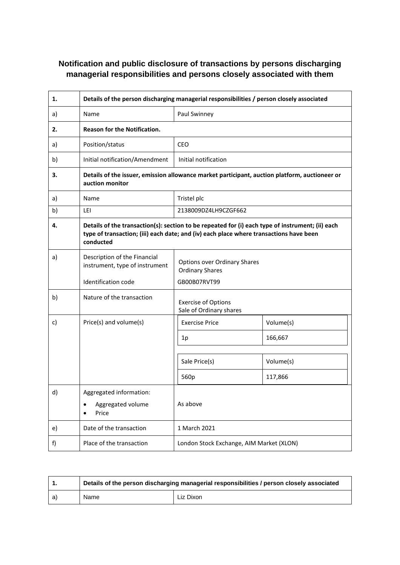# **Notification and public disclosure of transactions by persons discharging managerial responsibilities and persons closely associated with them**

| 1. | Details of the person discharging managerial responsibilities / person closely associated                                                                                                               |                                                                               |           |  |
|----|---------------------------------------------------------------------------------------------------------------------------------------------------------------------------------------------------------|-------------------------------------------------------------------------------|-----------|--|
| a) | Name                                                                                                                                                                                                    | Paul Swinney                                                                  |           |  |
| 2. | Reason for the Notification.                                                                                                                                                                            |                                                                               |           |  |
| a) | Position/status                                                                                                                                                                                         | <b>CEO</b>                                                                    |           |  |
| b) | Initial notification/Amendment                                                                                                                                                                          | Initial notification                                                          |           |  |
| 3. | Details of the issuer, emission allowance market participant, auction platform, auctioneer or<br>auction monitor                                                                                        |                                                                               |           |  |
| a) | Name                                                                                                                                                                                                    | Tristel plc                                                                   |           |  |
| b) | LEI                                                                                                                                                                                                     | 2138009DZ4LH9CZGF662                                                          |           |  |
| 4. | Details of the transaction(s): section to be repeated for (i) each type of instrument; (ii) each<br>type of transaction; (iii) each date; and (iv) each place where transactions have been<br>conducted |                                                                               |           |  |
| a) | Description of the Financial<br>instrument, type of instrument<br>Identification code                                                                                                                   | <b>Options over Ordinary Shares</b><br><b>Ordinary Shares</b><br>GB00B07RVT99 |           |  |
| b) | Nature of the transaction                                                                                                                                                                               | <b>Exercise of Options</b><br>Sale of Ordinary shares                         |           |  |
| c) | Price(s) and volume(s)                                                                                                                                                                                  | <b>Exercise Price</b>                                                         | Volume(s) |  |
|    |                                                                                                                                                                                                         | 1p                                                                            | 166,667   |  |
|    |                                                                                                                                                                                                         | Sale Price(s)                                                                 | Volume(s) |  |
|    |                                                                                                                                                                                                         | 560p                                                                          | 117,866   |  |
| d) | Aggregated information:<br>Aggregated volume<br>$\bullet$<br>Price                                                                                                                                      | As above                                                                      |           |  |
| e) | Date of the transaction                                                                                                                                                                                 | 1 March 2021                                                                  |           |  |
| f) | Place of the transaction                                                                                                                                                                                | London Stock Exchange, AIM Market (XLON)                                      |           |  |

|      | Details of the person discharging managerial responsibilities / person closely associated |           |  |
|------|-------------------------------------------------------------------------------------------|-----------|--|
| l a) | Name                                                                                      | Liz Dixon |  |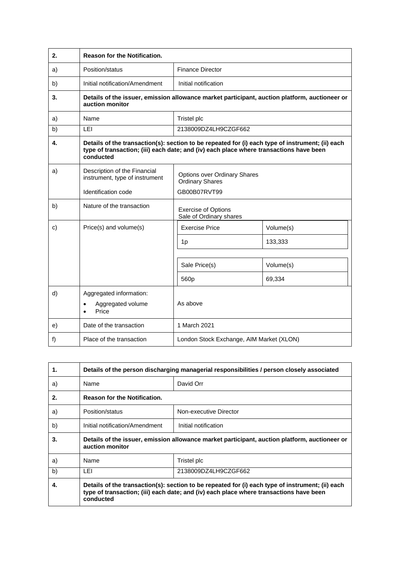| 2. | <b>Reason for the Notification.</b>                                                                                                                                                                     |                                                               |                     |  |
|----|---------------------------------------------------------------------------------------------------------------------------------------------------------------------------------------------------------|---------------------------------------------------------------|---------------------|--|
| a) | Position/status                                                                                                                                                                                         | <b>Finance Director</b>                                       |                     |  |
| b) | Initial notification/Amendment                                                                                                                                                                          | Initial notification                                          |                     |  |
| 3. | Details of the issuer, emission allowance market participant, auction platform, auctioneer or<br>auction monitor                                                                                        |                                                               |                     |  |
| a) | Name                                                                                                                                                                                                    | Tristel plc                                                   |                     |  |
| b) | LEI                                                                                                                                                                                                     | 2138009DZ4LH9CZGF662                                          |                     |  |
| 4. | Details of the transaction(s): section to be repeated for (i) each type of instrument; (ii) each<br>type of transaction; (iii) each date; and (iv) each place where transactions have been<br>conducted |                                                               |                     |  |
| a) | Description of the Financial<br>instrument, type of instrument                                                                                                                                          | <b>Options over Ordinary Shares</b><br><b>Ordinary Shares</b> |                     |  |
|    | Identification code                                                                                                                                                                                     | GB00B07RVT99                                                  |                     |  |
| b) | Nature of the transaction                                                                                                                                                                               | <b>Exercise of Options</b><br>Sale of Ordinary shares         |                     |  |
| c) | Price(s) and volume(s)                                                                                                                                                                                  | <b>Exercise Price</b>                                         | Volume(s)           |  |
|    |                                                                                                                                                                                                         | 1p                                                            | 133,333             |  |
|    |                                                                                                                                                                                                         | Sale Price(s)<br>560 <sub>p</sub>                             | Volume(s)<br>69,334 |  |
| d) | Aggregated information:<br>Aggregated volume<br>Price                                                                                                                                                   | As above                                                      |                     |  |
| e) | Date of the transaction                                                                                                                                                                                 | 1 March 2021                                                  |                     |  |
| f) | Place of the transaction                                                                                                                                                                                | London Stock Exchange, AIM Market (XLON)                      |                     |  |

| 1. | Details of the person discharging managerial responsibilities / person closely associated                                                                                                               |                        |  |
|----|---------------------------------------------------------------------------------------------------------------------------------------------------------------------------------------------------------|------------------------|--|
| a) | Name                                                                                                                                                                                                    | David Orr              |  |
| 2. | <b>Reason for the Notification.</b>                                                                                                                                                                     |                        |  |
| a) | Position/status                                                                                                                                                                                         | Non-executive Director |  |
| b) | Initial notification/Amendment                                                                                                                                                                          | Initial notification   |  |
| 3. | Details of the issuer, emission allowance market participant, auction platform, auctioneer or<br>auction monitor                                                                                        |                        |  |
| a) | Name                                                                                                                                                                                                    | Tristel plc            |  |
| b) | LEI                                                                                                                                                                                                     | 2138009DZ4LH9CZGF662   |  |
| 4. | Details of the transaction(s): section to be repeated for (i) each type of instrument; (ii) each<br>type of transaction; (iii) each date; and (iv) each place where transactions have been<br>conducted |                        |  |